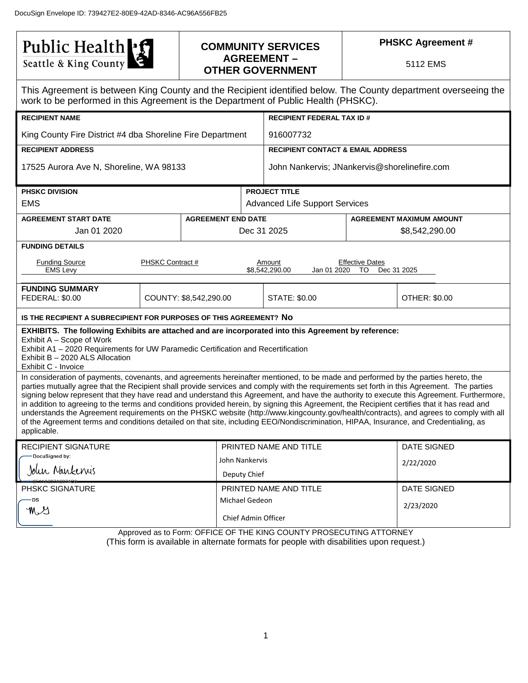Public Health

## **COMMUNITY SERVICES AGREEMENT – OTHER GOVERNMENT**

**PHSKC Agreement #**

5112 EMS

| This Agreement is between King County and the Recipient identified below. The County department overseeing the<br>work to be performed in this Agreement is the Department of Public Health (PHSKC).                                                                                                                                                                                                                                                                                                                                                                                                                                                                                                                                                                                                                                                                                                    |                  |                           |                        |                                              |                                             |                                 |  |  |  |  |
|---------------------------------------------------------------------------------------------------------------------------------------------------------------------------------------------------------------------------------------------------------------------------------------------------------------------------------------------------------------------------------------------------------------------------------------------------------------------------------------------------------------------------------------------------------------------------------------------------------------------------------------------------------------------------------------------------------------------------------------------------------------------------------------------------------------------------------------------------------------------------------------------------------|------------------|---------------------------|------------------------|----------------------------------------------|---------------------------------------------|---------------------------------|--|--|--|--|
| <b>RECIPIENT NAME</b>                                                                                                                                                                                                                                                                                                                                                                                                                                                                                                                                                                                                                                                                                                                                                                                                                                                                                   |                  |                           |                        | <b>RECIPIENT FEDERAL TAX ID#</b>             |                                             |                                 |  |  |  |  |
| King County Fire District #4 dba Shoreline Fire Department                                                                                                                                                                                                                                                                                                                                                                                                                                                                                                                                                                                                                                                                                                                                                                                                                                              |                  |                           |                        | 916007732                                    |                                             |                                 |  |  |  |  |
| <b>RECIPIENT ADDRESS</b>                                                                                                                                                                                                                                                                                                                                                                                                                                                                                                                                                                                                                                                                                                                                                                                                                                                                                |                  |                           |                        | <b>RECIPIENT CONTACT &amp; EMAIL ADDRESS</b> |                                             |                                 |  |  |  |  |
| 17525 Aurora Ave N, Shoreline, WA 98133                                                                                                                                                                                                                                                                                                                                                                                                                                                                                                                                                                                                                                                                                                                                                                                                                                                                 |                  |                           |                        | John Nankervis; JNankervis@shorelinefire.com |                                             |                                 |  |  |  |  |
| <b>PHSKC DIVISION</b>                                                                                                                                                                                                                                                                                                                                                                                                                                                                                                                                                                                                                                                                                                                                                                                                                                                                                   |                  |                           | <b>PROJECT TITLE</b>   |                                              |                                             |                                 |  |  |  |  |
| <b>EMS</b>                                                                                                                                                                                                                                                                                                                                                                                                                                                                                                                                                                                                                                                                                                                                                                                                                                                                                              |                  |                           |                        | <b>Advanced Life Support Services</b>        |                                             |                                 |  |  |  |  |
| <b>AGREEMENT START DATE</b>                                                                                                                                                                                                                                                                                                                                                                                                                                                                                                                                                                                                                                                                                                                                                                                                                                                                             |                  | <b>AGREEMENT END DATE</b> |                        |                                              |                                             | <b>AGREEMENT MAXIMUM AMOUNT</b> |  |  |  |  |
| Jan 01 2020                                                                                                                                                                                                                                                                                                                                                                                                                                                                                                                                                                                                                                                                                                                                                                                                                                                                                             |                  |                           | Dec 31 2025            |                                              |                                             | \$8,542,290.00                  |  |  |  |  |
| <b>FUNDING DETAILS</b>                                                                                                                                                                                                                                                                                                                                                                                                                                                                                                                                                                                                                                                                                                                                                                                                                                                                                  |                  |                           |                        |                                              |                                             |                                 |  |  |  |  |
| <b>Funding Source</b><br><b>EMS Levy</b>                                                                                                                                                                                                                                                                                                                                                                                                                                                                                                                                                                                                                                                                                                                                                                                                                                                                | PHSKC Contract # |                           |                        | Amount<br>\$8,542,290.00<br>Jan 01 2020      | <b>Effective Dates</b><br>TO<br>Dec 31 2025 |                                 |  |  |  |  |
| <b>FUNDING SUMMARY</b><br>FEDERAL: \$0.00                                                                                                                                                                                                                                                                                                                                                                                                                                                                                                                                                                                                                                                                                                                                                                                                                                                               |                  | COUNTY: \$8,542,290.00    |                        | STATE: \$0.00                                |                                             | OTHER: \$0.00                   |  |  |  |  |
| IS THE RECIPIENT A SUBRECIPIENT FOR PURPOSES OF THIS AGREEMENT? NO                                                                                                                                                                                                                                                                                                                                                                                                                                                                                                                                                                                                                                                                                                                                                                                                                                      |                  |                           |                        |                                              |                                             |                                 |  |  |  |  |
| EXHIBITS. The following Exhibits are attached and are incorporated into this Agreement by reference:<br>Exhibit A – Scope of Work<br>Exhibit A1 - 2020 Requirements for UW Paramedic Certification and Recertification<br>Exhibit B - 2020 ALS Allocation                                                                                                                                                                                                                                                                                                                                                                                                                                                                                                                                                                                                                                               |                  |                           |                        |                                              |                                             |                                 |  |  |  |  |
| Exhibit C - Invoice<br>In consideration of payments, covenants, and agreements hereinafter mentioned, to be made and performed by the parties hereto, the<br>parties mutually agree that the Recipient shall provide services and comply with the requirements set forth in this Agreement. The parties<br>signing below represent that they have read and understand this Agreement, and have the authority to execute this Agreement. Furthermore,<br>in addition to agreeing to the terms and conditions provided herein, by signing this Agreement, the Recipient certifies that it has read and<br>understands the Agreement requirements on the PHSKC website (http://www.kingcounty.gov/health/contracts), and agrees to comply with all<br>of the Agreement terms and conditions detailed on that site, including EEO/Nondiscrimination, HIPAA, Insurance, and Credentialing, as<br>applicable. |                  |                           |                        |                                              |                                             |                                 |  |  |  |  |
| <b>RECIPIENT SIGNATURE</b>                                                                                                                                                                                                                                                                                                                                                                                                                                                                                                                                                                                                                                                                                                                                                                                                                                                                              |                  |                           |                        | PRINTED NAME AND TITLE                       |                                             | <b>DATE SIGNED</b>              |  |  |  |  |
| DocuSianed by:                                                                                                                                                                                                                                                                                                                                                                                                                                                                                                                                                                                                                                                                                                                                                                                                                                                                                          |                  |                           | John Nankervis         |                                              |                                             | 2/22/2020                       |  |  |  |  |
| John Nankenis                                                                                                                                                                                                                                                                                                                                                                                                                                                                                                                                                                                                                                                                                                                                                                                                                                                                                           |                  | Deputy Chief              |                        |                                              |                                             |                                 |  |  |  |  |
| PHSKC SIGNATURE                                                                                                                                                                                                                                                                                                                                                                                                                                                                                                                                                                                                                                                                                                                                                                                                                                                                                         |                  |                           | PRINTED NAME AND TITLE |                                              | <b>DATE SIGNED</b>                          |                                 |  |  |  |  |
| -DS                                                                                                                                                                                                                                                                                                                                                                                                                                                                                                                                                                                                                                                                                                                                                                                                                                                                                                     |                  |                           | Michael Gedeon         |                                              |                                             | 2/23/2020                       |  |  |  |  |
| y y                                                                                                                                                                                                                                                                                                                                                                                                                                                                                                                                                                                                                                                                                                                                                                                                                                                                                                     |                  | Chief Admin Officer       |                        |                                              |                                             |                                 |  |  |  |  |

Approved as to Form: OFFICE OF THE KING COUNTY PROSECUTING ATTORNEY (This form is available in alternate formats for people with disabilities upon request.)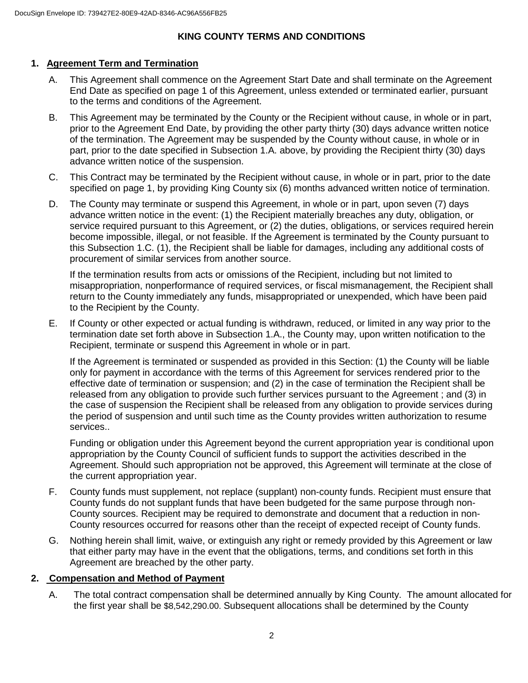## **KING COUNTY TERMS AND CONDITIONS**

## **1. Agreement Term and Termination**

- A. This Agreement shall commence on the Agreement Start Date and shall terminate on the Agreement End Date as specified on page 1 of this Agreement, unless extended or terminated earlier, pursuant to the terms and conditions of the Agreement.
- B. This Agreement may be terminated by the County or the Recipient without cause, in whole or in part, prior to the Agreement End Date, by providing the other party thirty (30) days advance written notice of the termination. The Agreement may be suspended by the County without cause, in whole or in part, prior to the date specified in Subsection 1.A. above, by providing the Recipient thirty (30) days advance written notice of the suspension.
- C. This Contract may be terminated by the Recipient without cause, in whole or in part, prior to the date specified on page 1, by providing King County six (6) months advanced written notice of termination.
- D. The County may terminate or suspend this Agreement, in whole or in part, upon seven (7) days advance written notice in the event: (1) the Recipient materially breaches any duty, obligation, or service required pursuant to this Agreement, or (2) the duties, obligations, or services required herein become impossible, illegal, or not feasible. If the Agreement is terminated by the County pursuant to this Subsection 1.C. (1), the Recipient shall be liable for damages, including any additional costs of procurement of similar services from another source.

If the termination results from acts or omissions of the Recipient, including but not limited to misappropriation, nonperformance of required services, or fiscal mismanagement, the Recipient shall return to the County immediately any funds, misappropriated or unexpended, which have been paid to the Recipient by the County.

E. If County or other expected or actual funding is withdrawn, reduced, or limited in any way prior to the termination date set forth above in Subsection 1.A., the County may, upon written notification to the Recipient, terminate or suspend this Agreement in whole or in part.

If the Agreement is terminated or suspended as provided in this Section: (1) the County will be liable only for payment in accordance with the terms of this Agreement for services rendered prior to the effective date of termination or suspension; and (2) in the case of termination the Recipient shall be released from any obligation to provide such further services pursuant to the Agreement ; and (3) in the case of suspension the Recipient shall be released from any obligation to provide services during the period of suspension and until such time as the County provides written authorization to resume services..

Funding or obligation under this Agreement beyond the current appropriation year is conditional upon appropriation by the County Council of sufficient funds to support the activities described in the Agreement. Should such appropriation not be approved, this Agreement will terminate at the close of the current appropriation year.

- F. County funds must supplement, not replace (supplant) non-county funds. Recipient must ensure that County funds do not supplant funds that have been budgeted for the same purpose through non-County sources. Recipient may be required to demonstrate and document that a reduction in non-County resources occurred for reasons other than the receipt of expected receipt of County funds.
- G. Nothing herein shall limit, waive, or extinguish any right or remedy provided by this Agreement or law that either party may have in the event that the obligations, terms, and conditions set forth in this Agreement are breached by the other party.

## **2. Compensation and Method of Payment**

A. The total contract compensation shall be determined annually by King County. The amount allocated for the first year shall be \$8,542,290.00. Subsequent allocations shall be determined by the County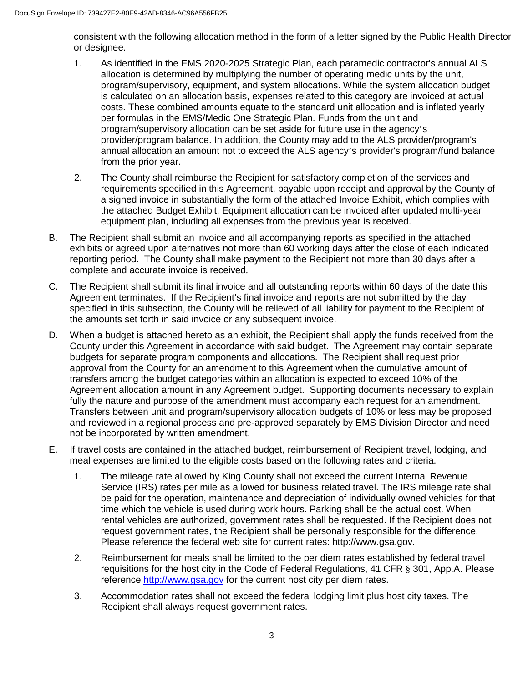consistent with the following allocation method in the form of a letter signed by the Public Health Director or designee.

- 1. As identified in the EMS 2020-2025 Strategic Plan, each paramedic contractor's annual ALS allocation is determined by multiplying the number of operating medic units by the unit, program/supervisory, equipment, and system allocations. While the system allocation budget is calculated on an allocation basis, expenses related to this category are invoiced at actual costs. These combined amounts equate to the standard unit allocation and is inflated yearly per formulas in the EMS/Medic One Strategic Plan. Funds from the unit and program/supervisory allocation can be set aside for future use in the agency's provider/program balance. In addition, the County may add to the ALS provider/program's annual allocation an amount not to exceed the ALS agency's provider's program/fund balance from the prior year.
- 2. The County shall reimburse the Recipient for satisfactory completion of the services and requirements specified in this Agreement, payable upon receipt and approval by the County of a signed invoice in substantially the form of the attached Invoice Exhibit, which complies with the attached Budget Exhibit. Equipment allocation can be invoiced after updated multi-year equipment plan, including all expenses from the previous year is received.
- B. The Recipient shall submit an invoice and all accompanying reports as specified in the attached exhibits or agreed upon alternatives not more than 60 working days after the close of each indicated reporting period. The County shall make payment to the Recipient not more than 30 days after a complete and accurate invoice is received.
- C. The Recipient shall submit its final invoice and all outstanding reports within 60 days of the date this Agreement terminates. If the Recipient's final invoice and reports are not submitted by the day specified in this subsection, the County will be relieved of all liability for payment to the Recipient of the amounts set forth in said invoice or any subsequent invoice.
- D. When a budget is attached hereto as an exhibit, the Recipient shall apply the funds received from the County under this Agreement in accordance with said budget. The Agreement may contain separate budgets for separate program components and allocations. The Recipient shall request prior approval from the County for an amendment to this Agreement when the cumulative amount of transfers among the budget categories within an allocation is expected to exceed 10% of the Agreement allocation amount in any Agreement budget. Supporting documents necessary to explain fully the nature and purpose of the amendment must accompany each request for an amendment. Transfers between unit and program/supervisory allocation budgets of 10% or less may be proposed and reviewed in a regional process and pre-approved separately by EMS Division Director and need not be incorporated by written amendment.
- E. If travel costs are contained in the attached budget, reimbursement of Recipient travel, lodging, and meal expenses are limited to the eligible costs based on the following rates and criteria.
	- 1. The mileage rate allowed by King County shall not exceed the current Internal Revenue Service (IRS) rates per mile as allowed for business related travel. The IRS mileage rate shall be paid for the operation, maintenance and depreciation of individually owned vehicles for that time which the vehicle is used during work hours. Parking shall be the actual cost. When rental vehicles are authorized, government rates shall be requested. If the Recipient does not request government rates, the Recipient shall be personally responsible for the difference. Please reference the federal web site for current rates: http://www.gsa.gov.
	- 2. Reimbursement for meals shall be limited to the per diem rates established by federal travel requisitions for the host city in the Code of Federal Regulations, 41 CFR § 301, App.A. Please reference [http://www.gsa.gov](http://www.gsa.gov/) for the current host city per diem rates.
	- 3. Accommodation rates shall not exceed the federal lodging limit plus host city taxes. The Recipient shall always request government rates.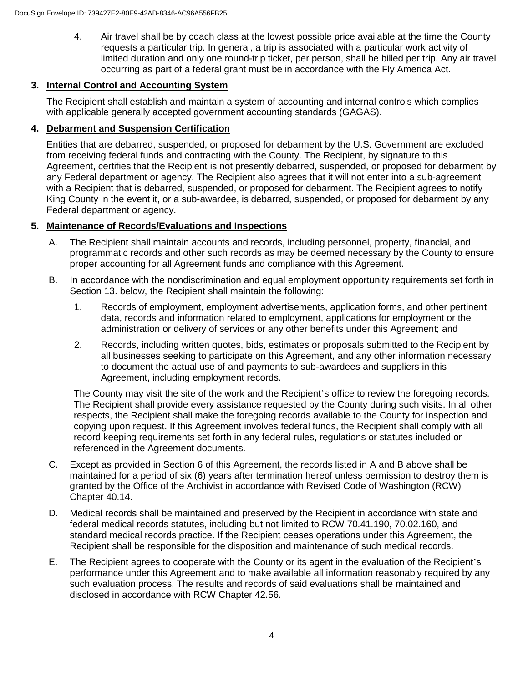4. Air travel shall be by coach class at the lowest possible price available at the time the County requests a particular trip. In general, a trip is associated with a particular work activity of limited duration and only one round-trip ticket, per person, shall be billed per trip. Any air travel occurring as part of a federal grant must be in accordance with the Fly America Act.

## **3. Internal Control and Accounting System**

The Recipient shall establish and maintain a system of accounting and internal controls which complies with applicable generally accepted government accounting standards (GAGAS).

## **4. Debarment and Suspension Certification**

Entities that are debarred, suspended, or proposed for debarment by the U.S. Government are excluded from receiving federal funds and contracting with the County. The Recipient, by signature to this Agreement, certifies that the Recipient is not presently debarred, suspended, or proposed for debarment by any Federal department or agency. The Recipient also agrees that it will not enter into a sub-agreement with a Recipient that is debarred, suspended, or proposed for debarment. The Recipient agrees to notify King County in the event it, or a sub-awardee, is debarred, suspended, or proposed for debarment by any Federal department or agency.

## **5. Maintenance of Records/Evaluations and Inspections**

- A. The Recipient shall maintain accounts and records, including personnel, property, financial, and programmatic records and other such records as may be deemed necessary by the County to ensure proper accounting for all Agreement funds and compliance with this Agreement.
- B. In accordance with the nondiscrimination and equal employment opportunity requirements set forth in Section 13. below, the Recipient shall maintain the following:
	- 1. Records of employment, employment advertisements, application forms, and other pertinent data, records and information related to employment, applications for employment or the administration or delivery of services or any other benefits under this Agreement; and
	- 2. Records, including written quotes, bids, estimates or proposals submitted to the Recipient by all businesses seeking to participate on this Agreement, and any other information necessary to document the actual use of and payments to sub-awardees and suppliers in this Agreement, including employment records.

The County may visit the site of the work and the Recipient's office to review the foregoing records. The Recipient shall provide every assistance requested by the County during such visits. In all other respects, the Recipient shall make the foregoing records available to the County for inspection and copying upon request. If this Agreement involves federal funds, the Recipient shall comply with all record keeping requirements set forth in any federal rules, regulations or statutes included or referenced in the Agreement documents.

- C. Except as provided in Section 6 of this Agreement, the records listed in A and B above shall be maintained for a period of six (6) years after termination hereof unless permission to destroy them is granted by the Office of the Archivist in accordance with Revised Code of Washington (RCW) Chapter 40.14.
- D. Medical records shall be maintained and preserved by the Recipient in accordance with state and federal medical records statutes, including but not limited to RCW 70.41.190, 70.02.160, and standard medical records practice. If the Recipient ceases operations under this Agreement, the Recipient shall be responsible for the disposition and maintenance of such medical records.
- E. The Recipient agrees to cooperate with the County or its agent in the evaluation of the Recipient's performance under this Agreement and to make available all information reasonably required by any such evaluation process. The results and records of said evaluations shall be maintained and disclosed in accordance with RCW Chapter 42.56.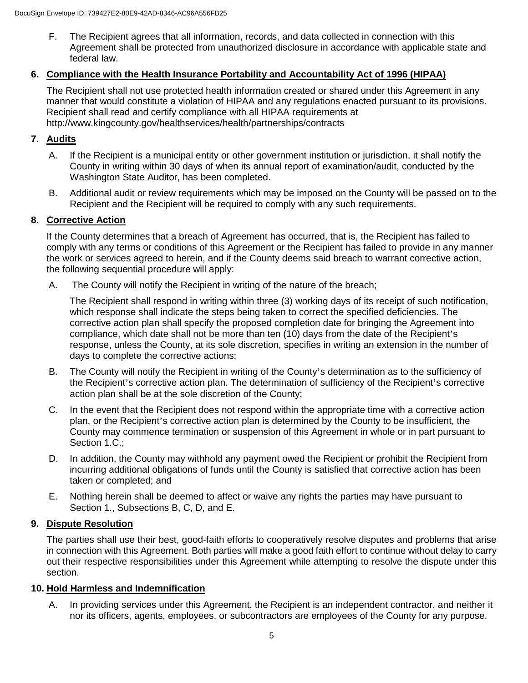F. The Recipient agrees that all information, records, and data collected in connection with this Agreement shall be protected from unauthorized disclosure in accordance with applicable state and federal law.

#### **6. Compliance with the Health Insurance Portability and Accountability Act of 1996 (HIPAA)**

The Recipient shall not use protected health information created or shared under this Agreement in any manner that would constitute a violation of HIPAA and any regulations enacted pursuant to its provisions. Recipient shall read and certify compliance with all HIPAA requirements at http://www.kingcounty.gov/healthservices/health/partnerships/contracts

## **7. Audits**

- A. If the Recipient is a municipal entity or other government institution or jurisdiction, it shall notify the County in writing within 30 days of when its annual report of examination/audit, conducted by the Washington State Auditor, has been completed.
- B. Additional audit or review requirements which may be imposed on the County will be passed on to the Recipient and the Recipient will be required to comply with any such requirements.

## **8. Corrective Action**

If the County determines that a breach of Agreement has occurred, that is, the Recipient has failed to comply with any terms or conditions of this Agreement or the Recipient has failed to provide in any manner the work or services agreed to herein, and if the County deems said breach to warrant corrective action, the following sequential procedure will apply:

A. The County will notify the Recipient in writing of the nature of the breach;

The Recipient shall respond in writing within three (3) working days of its receipt of such notification, which response shall indicate the steps being taken to correct the specified deficiencies. The corrective action plan shall specify the proposed completion date for bringing the Agreement into compliance, which date shall not be more than ten (10) days from the date of the Recipient's response, unless the County, at its sole discretion, specifies in writing an extension in the number of days to complete the corrective actions;

- B. The County will notify the Recipient in writing of the County's determination as to the sufficiency of the Recipient's corrective action plan. The determination of sufficiency of the Recipient's corrective action plan shall be at the sole discretion of the County;
- C. In the event that the Recipient does not respond within the appropriate time with a corrective action plan, or the Recipient's corrective action plan is determined by the County to be insufficient, the County may commence termination or suspension of this Agreement in whole or in part pursuant to Section 1.C.;
- D. In addition, the County may withhold any payment owed the Recipient or prohibit the Recipient from incurring additional obligations of funds until the County is satisfied that corrective action has been taken or completed; and
- E. Nothing herein shall be deemed to affect or waive any rights the parties may have pursuant to Section 1., Subsections B, C, D, and E.

#### **9. Dispute Resolution**

The parties shall use their best, good-faith efforts to cooperatively resolve disputes and problems that arise in connection with this Agreement. Both parties will make a good faith effort to continue without delay to carry out their respective responsibilities under this Agreement while attempting to resolve the dispute under this section.

## **10. Hold Harmless and Indemnification**

A. In providing services under this Agreement, the Recipient is an independent contractor, and neither it nor its officers, agents, employees, or subcontractors are employees of the County for any purpose.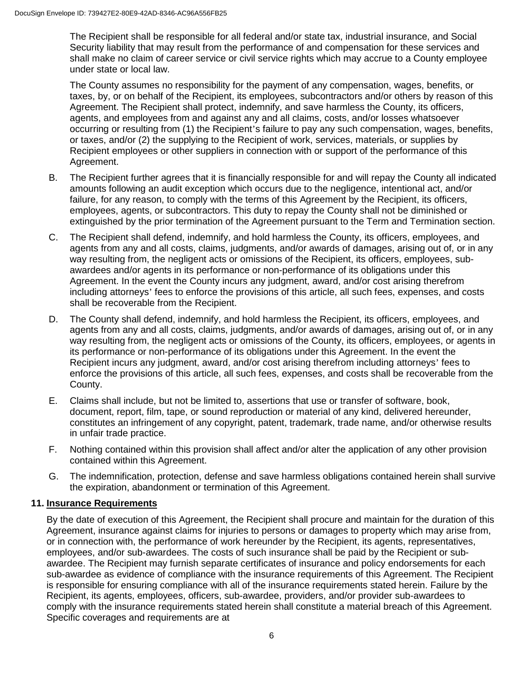The Recipient shall be responsible for all federal and/or state tax, industrial insurance, and Social Security liability that may result from the performance of and compensation for these services and shall make no claim of career service or civil service rights which may accrue to a County employee under state or local law.

The County assumes no responsibility for the payment of any compensation, wages, benefits, or taxes, by, or on behalf of the Recipient, its employees, subcontractors and/or others by reason of this Agreement. The Recipient shall protect, indemnify, and save harmless the County, its officers, agents, and employees from and against any and all claims, costs, and/or losses whatsoever occurring or resulting from (1) the Recipient's failure to pay any such compensation, wages, benefits, or taxes, and/or (2) the supplying to the Recipient of work, services, materials, or supplies by Recipient employees or other suppliers in connection with or support of the performance of this Agreement.

- B. The Recipient further agrees that it is financially responsible for and will repay the County all indicated amounts following an audit exception which occurs due to the negligence, intentional act, and/or failure, for any reason, to comply with the terms of this Agreement by the Recipient, its officers, employees, agents, or subcontractors. This duty to repay the County shall not be diminished or extinguished by the prior termination of the Agreement pursuant to the Term and Termination section.
- C. The Recipient shall defend, indemnify, and hold harmless the County, its officers, employees, and agents from any and all costs, claims, judgments, and/or awards of damages, arising out of, or in any way resulting from, the negligent acts or omissions of the Recipient, its officers, employees, subawardees and/or agents in its performance or non-performance of its obligations under this Agreement. In the event the County incurs any judgment, award, and/or cost arising therefrom including attorneys' fees to enforce the provisions of this article, all such fees, expenses, and costs shall be recoverable from the Recipient.
- D. The County shall defend, indemnify, and hold harmless the Recipient, its officers, employees, and agents from any and all costs, claims, judgments, and/or awards of damages, arising out of, or in any way resulting from, the negligent acts or omissions of the County, its officers, employees, or agents in its performance or non-performance of its obligations under this Agreement. In the event the Recipient incurs any judgment, award, and/or cost arising therefrom including attorneys' fees to enforce the provisions of this article, all such fees, expenses, and costs shall be recoverable from the County.
- E. Claims shall include, but not be limited to, assertions that use or transfer of software, book, document, report, film, tape, or sound reproduction or material of any kind, delivered hereunder, constitutes an infringement of any copyright, patent, trademark, trade name, and/or otherwise results in unfair trade practice.
- F. Nothing contained within this provision shall affect and/or alter the application of any other provision contained within this Agreement.
- G. The indemnification, protection, defense and save harmless obligations contained herein shall survive the expiration, abandonment or termination of this Agreement.

#### **11. Insurance Requirements**

By the date of execution of this Agreement, the Recipient shall procure and maintain for the duration of this Agreement, insurance against claims for injuries to persons or damages to property which may arise from, or in connection with, the performance of work hereunder by the Recipient, its agents, representatives, employees, and/or sub-awardees. The costs of such insurance shall be paid by the Recipient or subawardee. The Recipient may furnish separate certificates of insurance and policy endorsements for each sub-awardee as evidence of compliance with the insurance requirements of this Agreement. The Recipient is responsible for ensuring compliance with all of the insurance requirements stated herein. Failure by the Recipient, its agents, employees, officers, sub-awardee, providers, and/or provider sub-awardees to comply with the insurance requirements stated herein shall constitute a material breach of this Agreement. Specific coverages and requirements are at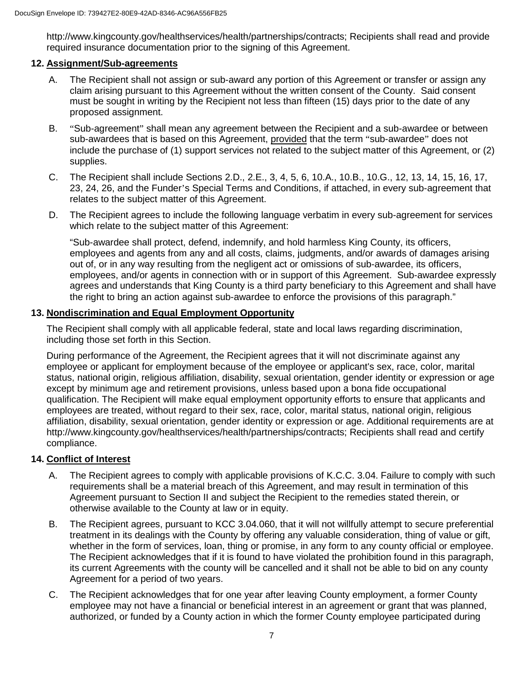http://www.kingcounty.gov/healthservices/health/partnerships/contracts; Recipients shall read and provide required insurance documentation prior to the signing of this Agreement.

## **12. Assignment/Sub-agreements**

- A. The Recipient shall not assign or sub-award any portion of this Agreement or transfer or assign any claim arising pursuant to this Agreement without the written consent of the County. Said consent must be sought in writing by the Recipient not less than fifteen (15) days prior to the date of any proposed assignment.
- B. "Sub-agreement" shall mean any agreement between the Recipient and a sub-awardee or between sub-awardees that is based on this Agreement, provided that the term "sub-awardee" does not include the purchase of (1) support services not related to the subject matter of this Agreement, or (2) supplies.
- C. The Recipient shall include Sections 2.D., 2.E., 3, 4, 5, 6, 10.A., 10.B., 10.G., 12, 13, 14, 15, 16, 17, 23, 24, 26, and the Funder's Special Terms and Conditions, if attached, in every sub-agreement that relates to the subject matter of this Agreement.
- D. The Recipient agrees to include the following language verbatim in every sub-agreement for services which relate to the subject matter of this Agreement:

"Sub-awardee shall protect, defend, indemnify, and hold harmless King County, its officers, employees and agents from any and all costs, claims, judgments, and/or awards of damages arising out of, or in any way resulting from the negligent act or omissions of sub-awardee, its officers, employees, and/or agents in connection with or in support of this Agreement. Sub-awardee expressly agrees and understands that King County is a third party beneficiary to this Agreement and shall have the right to bring an action against sub-awardee to enforce the provisions of this paragraph."

## **13. Nondiscrimination and Equal Employment Opportunity**

The Recipient shall comply with all applicable federal, state and local laws regarding discrimination, including those set forth in this Section.

During performance of the Agreement, the Recipient agrees that it will not discriminate against any employee or applicant for employment because of the employee or applicant's sex, race, color, marital status, national origin, religious affiliation, disability, sexual orientation, gender identity or expression or age except by minimum age and retirement provisions, unless based upon a bona fide occupational qualification. The Recipient will make equal employment opportunity efforts to ensure that applicants and employees are treated, without regard to their sex, race, color, marital status, national origin, religious affiliation, disability, sexual orientation, gender identity or expression or age. Additional requirements are at http://www.kingcounty.gov/healthservices/health/partnerships/contracts; Recipients shall read and certify compliance.

## **14. Conflict of Interest**

- A. The Recipient agrees to comply with applicable provisions of K.C.C. 3.04. Failure to comply with such requirements shall be a material breach of this Agreement, and may result in termination of this Agreement pursuant to Section II and subject the Recipient to the remedies stated therein, or otherwise available to the County at law or in equity.
- B. The Recipient agrees, pursuant to KCC 3.04.060, that it will not willfully attempt to secure preferential treatment in its dealings with the County by offering any valuable consideration, thing of value or gift, whether in the form of services, loan, thing or promise, in any form to any county official or employee. The Recipient acknowledges that if it is found to have violated the prohibition found in this paragraph, its current Agreements with the county will be cancelled and it shall not be able to bid on any county Agreement for a period of two years.
- C. The Recipient acknowledges that for one year after leaving County employment, a former County employee may not have a financial or beneficial interest in an agreement or grant that was planned, authorized, or funded by a County action in which the former County employee participated during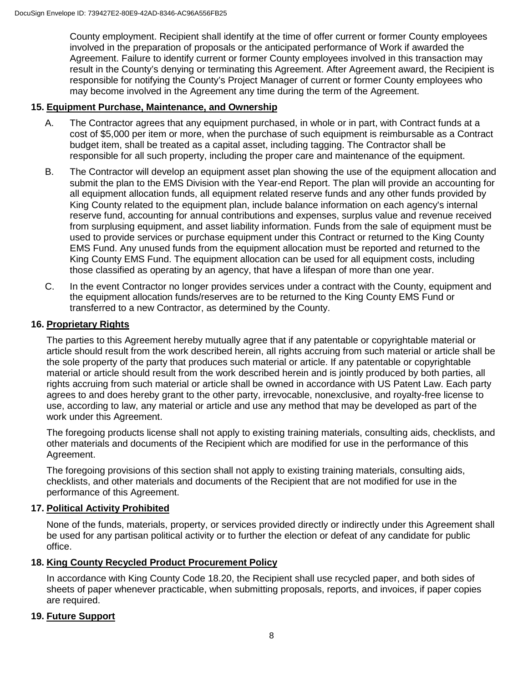County employment. Recipient shall identify at the time of offer current or former County employees involved in the preparation of proposals or the anticipated performance of Work if awarded the Agreement. Failure to identify current or former County employees involved in this transaction may result in the County's denying or terminating this Agreement. After Agreement award, the Recipient is responsible for notifying the County's Project Manager of current or former County employees who may become involved in the Agreement any time during the term of the Agreement.

#### **15. Equipment Purchase, Maintenance, and Ownership**

- A. The Contractor agrees that any equipment purchased, in whole or in part, with Contract funds at a cost of \$5,000 per item or more, when the purchase of such equipment is reimbursable as a Contract budget item, shall be treated as a capital asset, including tagging. The Contractor shall be responsible for all such property, including the proper care and maintenance of the equipment.
- B. The Contractor will develop an equipment asset plan showing the use of the equipment allocation and submit the plan to the EMS Division with the Year-end Report. The plan will provide an accounting for all equipment allocation funds, all equipment related reserve funds and any other funds provided by King County related to the equipment plan, include balance information on each agency's internal reserve fund, accounting for annual contributions and expenses, surplus value and revenue received from surplusing equipment, and asset liability information. Funds from the sale of equipment must be used to provide services or purchase equipment under this Contract or returned to the King County EMS Fund. Any unused funds from the equipment allocation must be reported and returned to the King County EMS Fund. The equipment allocation can be used for all equipment costs, including those classified as operating by an agency, that have a lifespan of more than one year.
- C. In the event Contractor no longer provides services under a contract with the County, equipment and the equipment allocation funds/reserves are to be returned to the King County EMS Fund or transferred to a new Contractor, as determined by the County.

#### **16. Proprietary Rights**

The parties to this Agreement hereby mutually agree that if any patentable or copyrightable material or article should result from the work described herein, all rights accruing from such material or article shall be the sole property of the party that produces such material or article. If any patentable or copyrightable material or article should result from the work described herein and is jointly produced by both parties, all rights accruing from such material or article shall be owned in accordance with US Patent Law. Each party agrees to and does hereby grant to the other party, irrevocable, nonexclusive, and royalty-free license to use, according to law, any material or article and use any method that may be developed as part of the work under this Agreement.

The foregoing products license shall not apply to existing training materials, consulting aids, checklists, and other materials and documents of the Recipient which are modified for use in the performance of this Agreement.

The foregoing provisions of this section shall not apply to existing training materials, consulting aids, checklists, and other materials and documents of the Recipient that are not modified for use in the performance of this Agreement.

#### **17. Political Activity Prohibited**

None of the funds, materials, property, or services provided directly or indirectly under this Agreement shall be used for any partisan political activity or to further the election or defeat of any candidate for public office.

#### **18. King County Recycled Product Procurement Policy**

In accordance with King County Code 18.20, the Recipient shall use recycled paper, and both sides of sheets of paper whenever practicable, when submitting proposals, reports, and invoices, if paper copies are required.

#### **19. Future Support**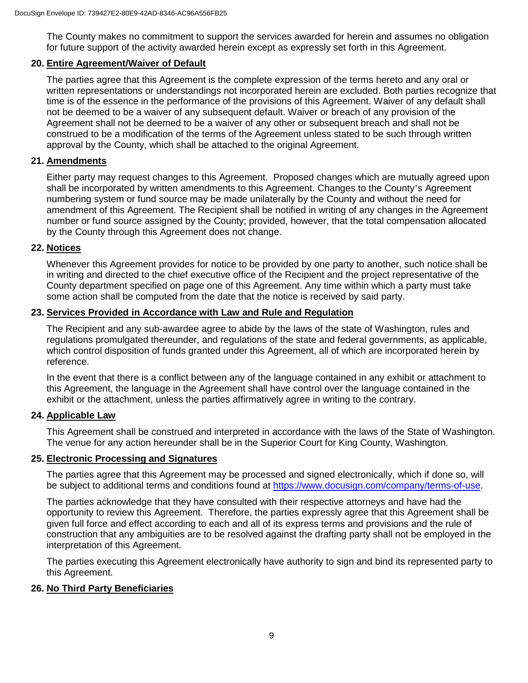The County makes no commitment to support the services awarded for herein and assumes no obligation for future support of the activity awarded herein except as expressly set forth in this Agreement.

## **20. Entire Agreement/Waiver of Default**

The parties agree that this Agreement is the complete expression of the terms hereto and any oral or written representations or understandings not incorporated herein are excluded. Both parties recognize that time is of the essence in the performance of the provisions of this Agreement. Waiver of any default shall not be deemed to be a waiver of any subsequent default. Waiver or breach of any provision of the Agreement shall not be deemed to be a waiver of any other or subsequent breach and shall not be construed to be a modification of the terms of the Agreement unless stated to be such through written approval by the County, which shall be attached to the original Agreement.

## **21. Amendments**

Either party may request changes to this Agreement. Proposed changes which are mutually agreed upon shall be incorporated by written amendments to this Agreement. Changes to the County's Agreement numbering system or fund source may be made unilaterally by the County and without the need for amendment of this Agreement. The Recipient shall be notified in writing of any changes in the Agreement number or fund source assigned by the County; provided, however, that the total compensation allocated by the County through this Agreement does not change.

#### **22. Notices**

Whenever this Agreement provides for notice to be provided by one party to another, such notice shall be in writing and directed to the chief executive office of the Recipient and the project representative of the County department specified on page one of this Agreement. Any time within which a party must take some action shall be computed from the date that the notice is received by said party.

#### **23. Services Provided in Accordance with Law and Rule and Regulation**

The Recipient and any sub-awardee agree to abide by the laws of the state of Washington, rules and regulations promulgated thereunder, and regulations of the state and federal governments, as applicable, which control disposition of funds granted under this Agreement, all of which are incorporated herein by reference.

In the event that there is a conflict between any of the language contained in any exhibit or attachment to this Agreement, the language in the Agreement shall have control over the language contained in the exhibit or the attachment, unless the parties affirmatively agree in writing to the contrary.

#### **24. Applicable Law**

This Agreement shall be construed and interpreted in accordance with the laws of the State of Washington. The venue for any action hereunder shall be in the Superior Court for King County, Washington.

#### **25. Electronic Processing and Signatures**

The parties agree that this Agreement may be processed and signed electronically, which if done so, will be subject to additional terms and conditions found at [https://www.docusign.com/company/terms-of-use.](https://www.docusign.com/company/terms-of-use)

The parties acknowledge that they have consulted with their respective attorneys and have had the opportunity to review this Agreement. Therefore, the parties expressly agree that this Agreement shall be given full force and effect according to each and all of its express terms and provisions and the rule of construction that any ambiguities are to be resolved against the drafting party shall not be employed in the interpretation of this Agreement.

The parties executing this Agreement electronically have authority to sign and bind its represented party to this Agreement.

#### **26. No Third Party Beneficiaries**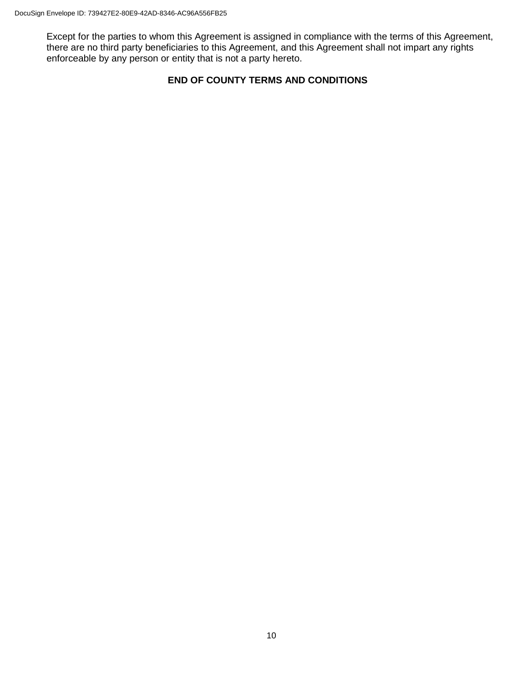Except for the parties to whom this Agreement is assigned in compliance with the terms of this Agreement, there are no third party beneficiaries to this Agreement, and this Agreement shall not impart any rights enforceable by any person or entity that is not a party hereto.

## **END OF COUNTY TERMS AND CONDITIONS**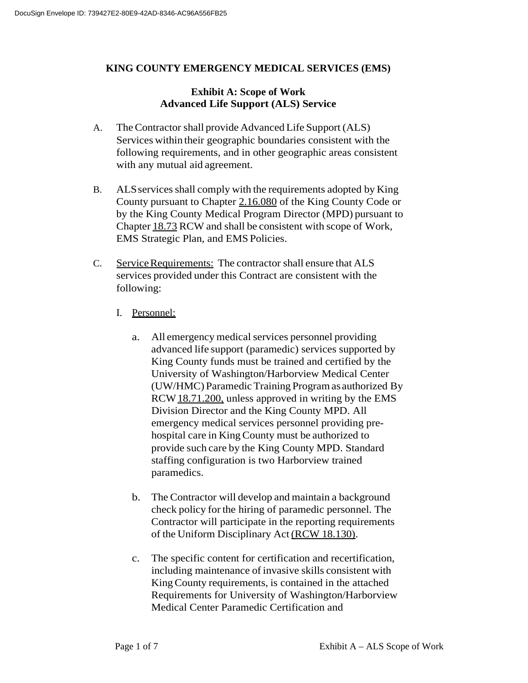## **KING COUNTY EMERGENCY MEDICAL SERVICES (EMS)**

## **Exhibit A: Scope of Work Advanced Life Support (ALS) Service**

- A. TheContractor shall provide Advanced Life Support (ALS) Services within their geographic boundaries consistent with the following requirements, and in other geographic areas consistent with any mutual aid agreement.
- B. ALS services shall comply with the requirements adopted by King County pursuant to Chapter 2.16.080 of the King County Code or by the King County Medical Program Director (MPD) pursuant to Chapter 18.73 RCW and shall be consistent with scope of Work, EMS Strategic Plan, and EMS Policies.
- C. Service Requirements: The contractor shall ensure that ALS services provided under this Contract are consistent with the following:
	- I. Personnel:
		- a. All emergency medical services personnel providing advanced life support (paramedic) services supported by King County funds must be trained and certified by the University of Washington/Harborview Medical Center (UW/HMC) ParamedicTraining Programas authorized By RCW 18.71.200, unless approved in writing by the EMS Division Director and the King County MPD. All emergency medical services personnel providing prehospital care in King County must be authorized to provide such care by the King County MPD. Standard staffing configuration is two Harborview trained paramedics.
		- b. The Contractor will develop and maintain a background check policy for the hiring of paramedic personnel. The Contractor will participate in the reporting requirements of the Uniform Disciplinary Act (RCW 18.130).
		- c. The specific content for certification and recertification, including maintenance of invasive skills consistent with KingCounty requirements, is contained in the attached Requirements for University of Washington/Harborview Medical Center Paramedic Certification and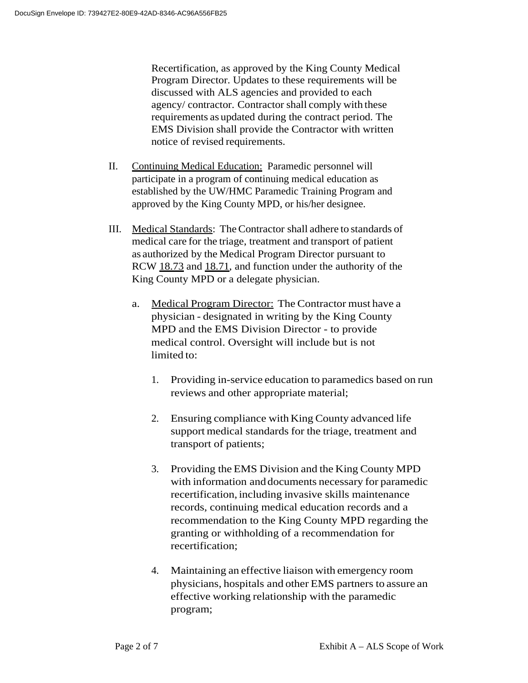Recertification, as approved by the King County Medical Program Director. Updates to these requirements will be discussed with ALS agencies and provided to each agency/ contractor. Contractor shall comply with these requirements as updated during the contract period. The EMS Division shall provide the Contractor with written notice of revised requirements.

- II. Continuing Medical Education: Paramedic personnel will participate in a program of continuing medical education as established by the UW/HMC Paramedic Training Program and approved by the King County MPD, or his/her designee.
- III. Medical Standards: TheContractor shall adhere to standards of medical care for the triage, treatment and transport of patient as authorized by the Medical Program Director pursuant to RCW 18.73 and 18.71, and function under the authority of the King County MPD or a delegate physician.
	- a. Medical Program Director: The Contractor must have a physician - designated in writing by the King County MPD and the EMS Division Director - to provide medical control. Oversight will include but is not limited to:
		- 1. Providing in-service education to paramedics based on run reviews and other appropriate material;
		- 2. Ensuring compliance with King County advanced life support medical standards for the triage, treatment and transport of patients;
		- 3. Providing the EMS Division and the King County MPD with information anddocuments necessary for paramedic recertification, including invasive skills maintenance records, continuing medical education records and a recommendation to the King County MPD regarding the granting or withholding of a recommendation for recertification;
		- 4. Maintaining an effective liaison with emergency room physicians, hospitals and other EMS partners to assure an effective working relationship with the paramedic program;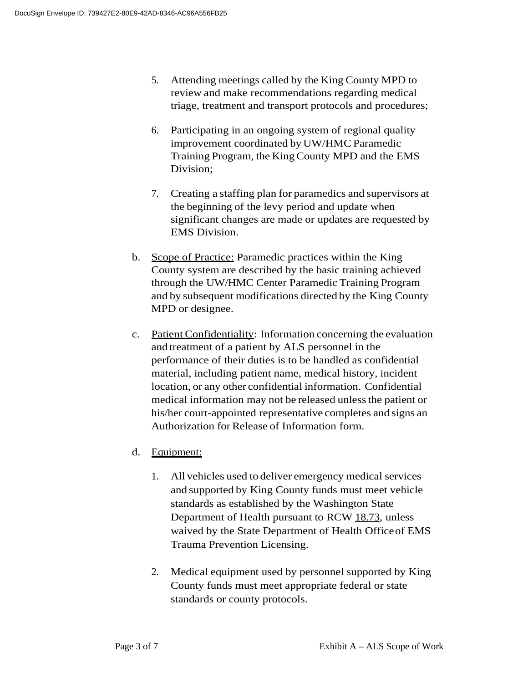- 5. Attending meetings called by the King County MPD to review and make recommendations regarding medical triage, treatment and transport protocols and procedures;
- 6. Participating in an ongoing system of regional quality improvement coordinated by UW/HMC Paramedic Training Program, the KingCounty MPD and the EMS Division;
- 7. Creating a staffing plan for paramedics and supervisors at the beginning of the levy period and update when significant changes are made or updates are requested by EMS Division.
- b. Scope of Practice: Paramedic practices within the King County system are described by the basic training achieved through the UW/HMC Center Paramedic Training Program and by subsequent modifications directed by the King County MPD or designee.
- c. Patient Confidentiality: Information concerning the evaluation and treatment of a patient by ALS personnel in the performance of their duties is to be handled as confidential material, including patient name, medical history, incident location, or any other confidential information. Confidential medical information may not be released unless the patient or his/her court-appointed representative completes and signs an Authorization forRelease of Information form.
- d. Equipment:
	- 1. All vehicles used to deliver emergency medical services and supported by King County funds must meet vehicle standards as established by the Washington State Department of Health pursuant to RCW 18.73, unless waived by the State Department of Health Officeof EMS Trauma Prevention Licensing.
	- 2. Medical equipment used by personnel supported by King County funds must meet appropriate federal or state standards or county protocols.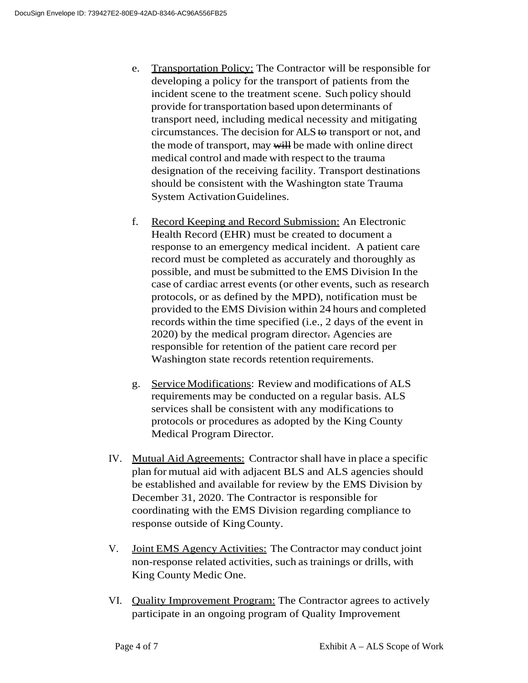- e. Transportation Policy: The Contractor will be responsible for developing a policy for the transport of patients from the incident scene to the treatment scene. Such policy should provide for transportation based upon determinants of transport need, including medical necessity and mitigating circumstances. The decision for ALS to transport or not, and the mode of transport, may will be made with online direct medical control and made with respect to the trauma designation of the receiving facility. Transport destinations should be consistent with the Washington state Trauma System ActivationGuidelines.
- f. Record Keeping and Record Submission: An Electronic Health Record (EHR) must be created to document a response to an emergency medical incident. A patient care record must be completed as accurately and thoroughly as possible, and must be submitted to the EMS Division In the case of cardiac arrest events (or other events, such as research protocols, or as defined by the MPD), notification must be provided to the EMS Division within 24 hours and completed records within the time specified (i.e., 2 days of the event in 2020) by the medical program director. Agencies are responsible for retention of the patient care record per Washington state records retention requirements.
- g. Service Modifications: Review and modifications of ALS requirements may be conducted on a regular basis. ALS services shall be consistent with any modifications to protocols or procedures as adopted by the King County Medical Program Director.
- IV. Mutual Aid Agreements: Contractor shall have in place a specific plan for mutual aid with adjacent BLS and ALS agencies should be established and available for review by the EMS Division by December 31, 2020. The Contractor is responsible for coordinating with the EMS Division regarding compliance to response outside of KingCounty.
- V. Joint EMS Agency Activities: The Contractor may conduct joint non-response related activities, such as trainings or drills, with King County Medic One.
- VI. Quality Improvement Program: The Contractor agrees to actively participate in an ongoing program of Quality Improvement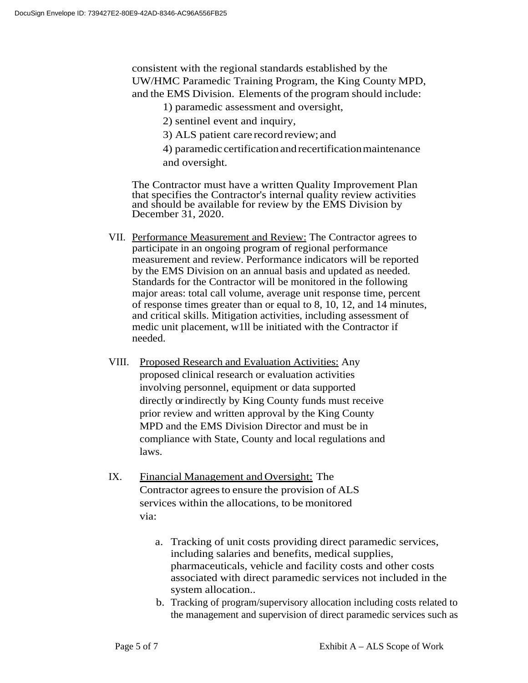consistent with the regional standards established by the UW/HMC Paramedic Training Program, the King County MPD, and the EMS Division. Elements of the program should include:

- 1) paramedic assessment and oversight,
- 2) sentinel event and inquiry,
- 3) ALS patient care record review; and
- 4) paramedic certification andrecertificationmaintenance and oversight.

The Contractor must have a written Quality Improvement Plan that specifies the Contractor's internal quality review activities and should be available for review by the EMS Division by December 31, 2020.

- VII. Performance Measurement and Review: The Contractor agrees to participate in an ongoing program of regional performance measurement and review. Performance indicators will be reported by the EMS Division on an annual basis and updated as needed. Standards for the Contractor will be monitored in the following major areas: total call volume, average unit response time, percent of response times greater than or equal to 8, 10, 12, and 14 minutes, and critical skills. Mitigation activities, including assessment of medic unit placement, w1ll be initiated with the Contractor if needed.
- VIII. Proposed Research and Evaluation Activities: Any proposed clinical research or evaluation activities involving personnel, equipment or data supported directly or indirectly by King County funds must receive prior review and written approval by the King County MPD and the EMS Division Director and must be in compliance with State, County and local regulations and laws.
- IX. Financial Management and Oversight: The Contractor agrees to ensure the provision of ALS services within the allocations, to be monitored via:
	- a. Tracking of unit costs providing direct paramedic services, including salaries and benefits, medical supplies, pharmaceuticals, vehicle and facility costs and other costs associated with direct paramedic services not included in the system allocation..
	- b. Tracking of program/supervisory allocation including costs related to the management and supervision of direct paramedic services such as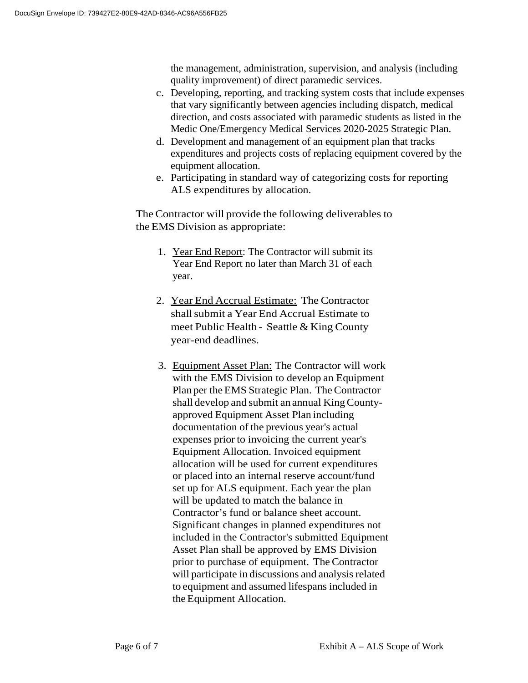the management, administration, supervision, and analysis (including quality improvement) of direct paramedic services.

- c. Developing, reporting, and tracking system costs that include expenses that vary significantly between agencies including dispatch, medical direction, and costs associated with paramedic students as listed in the Medic One/Emergency Medical Services 2020-2025 Strategic Plan.
- d. Development and management of an equipment plan that tracks expenditures and projects costs of replacing equipment covered by the equipment allocation.
- e. Participating in standard way of categorizing costs for reporting ALS expenditures by allocation.

The Contractor will provide the following deliverables to the EMS Division as appropriate:

- 1. Year End Report: The Contractor will submit its Year End Report no later than March 31 of each year.
- 2. Year End Accrual Estimate: The Contractor shall submit a Year End Accrual Estimate to meet Public Health - Seattle & King County year-end deadlines.
- 3. Equipment Asset Plan: The Contractor will work with the EMS Division to develop an Equipment Plan per the EMS Strategic Plan. The Contractor shall develop and submit an annual KingCountyapproved Equipment Asset Plan including documentation of the previous year's actual expenses prior to invoicing the current year's Equipment Allocation. Invoiced equipment allocation will be used for current expenditures or placed into an internal reserve account/fund set up for ALS equipment. Each year the plan will be updated to match the balance in Contractor's fund or balance sheet account. Significant changes in planned expenditures not included in the Contractor's submitted Equipment Asset Plan shall be approved by EMS Division prior to purchase of equipment. The Contractor will participate in discussions and analysis related to equipment and assumed lifespans included in the Equipment Allocation.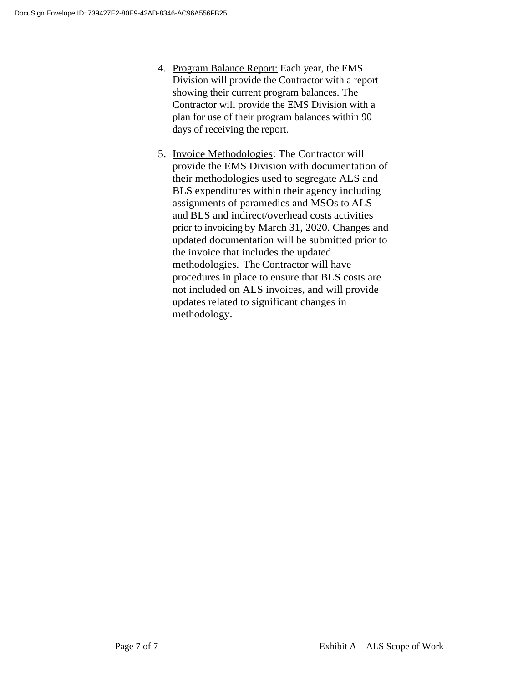- 4. Program Balance Report: Each year, the EMS Division will provide the Contractor with a report showing their current program balances. The Contractor will provide the EMS Division with a plan for use of their program balances within 90 days of receiving the report.
- 5. Invoice Methodologies: The Contractor will provide the EMS Division with documentation of their methodologies used to segregate ALS and BLS expenditures within their agency including assignments of paramedics and MSOs to ALS and BLS and indirect/overhead costs activities prior to invoicing by March 31, 2020. Changes and updated documentation will be submitted prior to the invoice that includes the updated methodologies. The Contractor will have procedures in place to ensure that BLS costs are not included on ALS invoices, and will provide updates related to significant changes in methodology.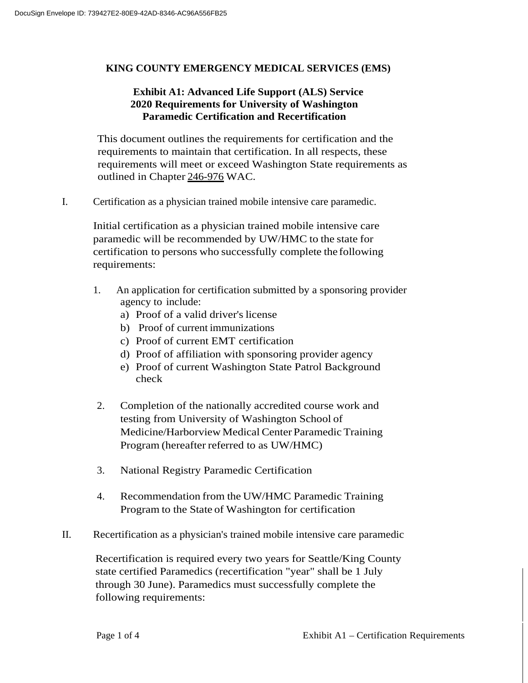## **KING COUNTY EMERGENCY MEDICAL SERVICES (EMS)**

## **Exhibit A1: Advanced Life Support (ALS) Service 2020 Requirements for University of Washington Paramedic Certification and Recertification**

This document outlines the requirements for certification and the requirements to maintain that certification. In all respects, these requirements will meet or exceed Washington State requirements as outlined in Chapter 246-976 WAC.

I. Certification as a physician trained mobile intensive care paramedic.

Initial certification as a physician trained mobile intensive care paramedic will be recommended by UW/HMC to the state for certification to persons who successfully complete the following requirements:

- 1. An application for certification submitted by a sponsoring provider agency to include:
	- a) Proof of a valid driver's license
	- b) Proof of current immunizations
	- c) Proof of current EMT certification
	- d) Proof of affiliation with sponsoring provider agency
	- e) Proof of current Washington State Patrol Background check
- 2. Completion of the nationally accredited course work and testing from University of Washington School of Medicine/Harborview Medical Center Paramedic Training Program (hereafter referred to as UW/HMC)
- 3. National Registry Paramedic Certification
- 4. Recommendation from the UW/HMC Paramedic Training Program to the State of Washington for certification
- II. Recertification as a physician's trained mobile intensive care paramedic

Recertification is required every two years for Seattle/King County state certified Paramedics (recertification "year" shall be 1 July through 30 June). Paramedics must successfully complete the following requirements: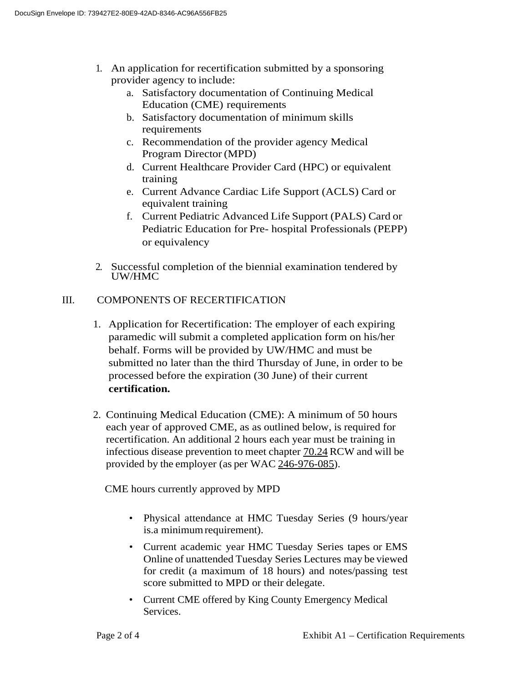- 1. An application for recertification submitted by a sponsoring provider agency to include:
	- a. Satisfactory documentation of Continuing Medical Education (CME) requirements
	- b. Satisfactory documentation of minimum skills requirements
	- c. Recommendation of the provider agency Medical Program Director (MPD)
	- d. Current Healthcare Provider Card (HPC) or equivalent training
	- e. Current Advance Cardiac Life Support (ACLS) Card or equivalent training
	- f. Current Pediatric Advanced Life Support (PALS) Card or Pediatric Education for Pre- hospital Professionals (PEPP) or equivalency
- 2. Successful completion of the biennial examination tendered by UW/HMC

# III. COMPONENTS OF RECERTIFICATION

- 1. Application for Recertification: The employer of each expiring paramedic will submit a completed application form on his/her behalf. Forms will be provided by UW/HMC and must be submitted no later than the third Thursday of June, in order to be processed before the expiration (30 June) of their current **certification.**
- 2. Continuing Medical Education (CME): A minimum of 50 hours each year of approved CME, as as outlined below, is required for recertification. An additional 2 hours each year must be training in infectious disease prevention to meet chapter 70.24 RCW and will be provided by the employer (as per WAC 246-976-085).

CME hours currently approved by MPD

- Physical attendance at HMC Tuesday Series (9 hours/year is.a minimumrequirement).
- Current academic year HMC Tuesday Series tapes or EMS Online of unattended Tuesday Series Lectures may be viewed for credit (a maximum of 18 hours) and notes/passing test score submitted to MPD or their delegate.
- Current CME offered by King County Emergency Medical Services.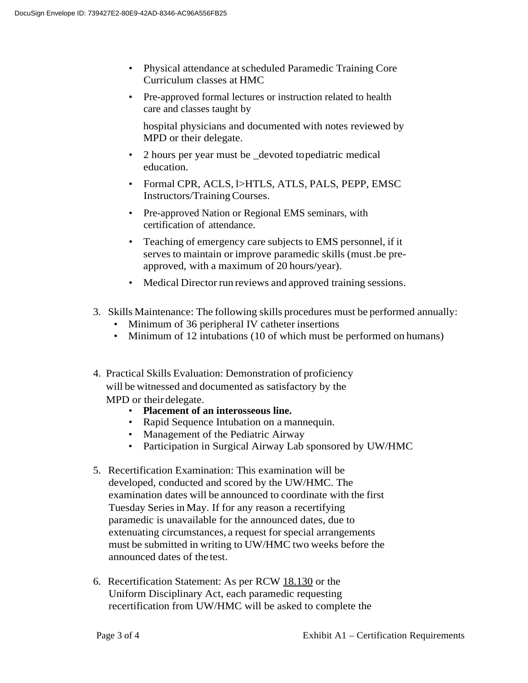- Physical attendance at scheduled Paramedic Training Core Curriculum classes at HMC
- Pre-approved formal lectures or instruction related to health care and classes taught by

hospital physicians and documented with notes reviewed by MPD or their delegate.

- 2 hours per year must be \_devoted topediatric medical education.
- Formal CPR, ACLS, l>HTLS, ATLS, PALS, PEPP, EMSC Instructors/TrainingCourses.
- Pre-approved Nation or Regional EMS seminars, with certification of attendance.
- Teaching of emergency care subjects to EMS personnel, if it serves to maintain or improve paramedic skills (must.be preapproved, with a maximum of 20 hours/year).
- Medical Director run reviews and approved training sessions.
- 3. Skills Maintenance: The following skills procedures must be performed annually:
	- Minimum of 36 peripheral IV catheter insertions
	- Minimum of 12 intubations (10 of which must be performed on humans)
- 4. Practical Skills Evaluation: Demonstration of proficiency will be witnessed and documented as satisfactory by the MPD or their delegate.
	- **Placement of an interosseous line.**
	- Rapid Sequence Intubation on a mannequin.
	- Management of the Pediatric Airway
	- Participation in Surgical Airway Lab sponsored by UW/HMC
- 5. Recertification Examination: This examination will be developed, conducted and scored by the UW/HMC. The examination dates will be announced to coordinate with the first Tuesday Seriesin May. If for any reason a recertifying paramedic is unavailable for the announced dates, due to extenuating circumstances, a request for special arrangements must be submitted in writing to UW/HMC two weeks before the announced dates of the test.
- 6. Recertification Statement: As per RCW 18.130 or the Uniform Disciplinary Act, each paramedic requesting recertification from UW/HMC will be asked to complete the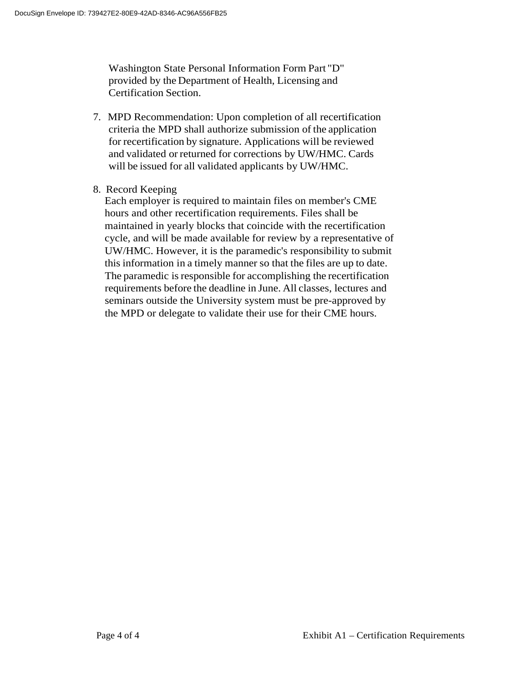Washington State Personal Information Form Part "D" provided by the Department of Health, Licensing and Certification Section.

- 7. MPD Recommendation: Upon completion of all recertification criteria the MPD shall authorize submission of the application for recertification by signature. Applications will be reviewed and validated or returned for corrections by UW/HMC. Cards will be issued for all validated applicants by UW/HMC.
- 8. Record Keeping

Each employer is required to maintain files on member's CME hours and other recertification requirements. Files shall be maintained in yearly blocks that coincide with the recertification cycle, and will be made available for review by a representative of UW/HMC. However, it is the paramedic's responsibility to submit this information in a timely manner so that the files are up to date. The paramedic is responsible for accomplishing the recertification requirements before the deadline in June. All classes, lectures and seminars outside the University system must be pre-approved by the MPD or delegate to validate their use for their CME hours.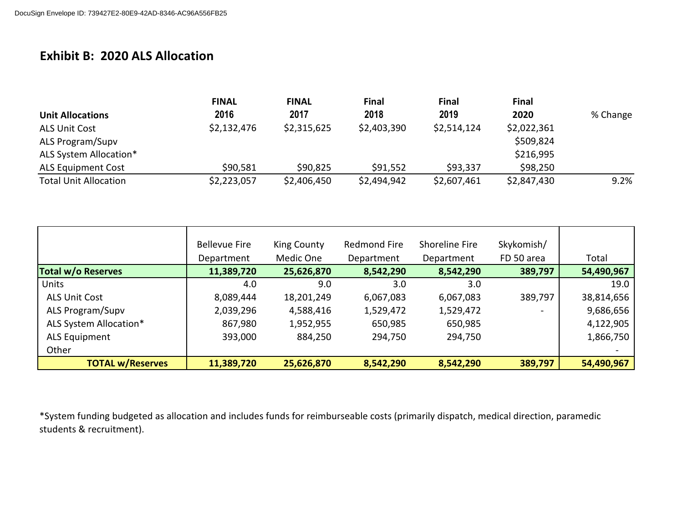# **Exhibit B: 2020 ALS Allocation**

|                              | <b>FINAL</b> | <b>FINAL</b> | <b>Final</b> | <b>Final</b> | <b>Final</b> |          |
|------------------------------|--------------|--------------|--------------|--------------|--------------|----------|
| <b>Unit Allocations</b>      | 2016         | 2017         | 2018         | 2019         | 2020         | % Change |
| <b>ALS Unit Cost</b>         | \$2,132,476  | \$2,315,625  | \$2,403,390  | \$2,514,124  | \$2,022,361  |          |
| ALS Program/Supv             |              |              |              |              | \$509,824    |          |
| ALS System Allocation*       |              |              |              |              | \$216,995    |          |
| <b>ALS Equipment Cost</b>    | \$90,581     | \$90,825     | \$91,552     | \$93,337     | \$98,250     |          |
| <b>Total Unit Allocation</b> | \$2,223,057  | \$2,406,450  | \$2,494,942  | \$2,607,461  | \$2,847,430  | 9.2%     |

|                           | <b>Bellevue Fire</b> | King County | Redmond Fire | Shoreline Fire | Skykomish/ |            |
|---------------------------|----------------------|-------------|--------------|----------------|------------|------------|
|                           | Department           | Medic One   | Department   | Department     | FD 50 area | Total      |
| <b>Total w/o Reserves</b> | 11,389,720           | 25,626,870  | 8,542,290    | 8,542,290      | 389,797    | 54,490,967 |
| <b>Units</b>              | 4.0                  | 9.0         | 3.0          | 3.0            |            | 19.0       |
| <b>ALS Unit Cost</b>      | 8,089,444            | 18,201,249  | 6,067,083    | 6,067,083      | 389,797    | 38,814,656 |
| ALS Program/Supv          | 2,039,296            | 4,588,416   | 1,529,472    | 1,529,472      |            | 9,686,656  |
| ALS System Allocation*    | 867,980              | 1,952,955   | 650,985      | 650,985        |            | 4,122,905  |
| <b>ALS Equipment</b>      | 393,000              | 884,250     | 294,750      | 294,750        |            | 1,866,750  |
| Other                     |                      |             |              |                |            |            |
| <b>TOTAL w/Reserves</b>   | 11,389,720           | 25,626,870  | 8,542,290    | 8,542,290      | 389,797    | 54,490,967 |

\*System funding budgeted as allocation and includes funds for reimburseable costs (primarily dispatch, medical direction, paramedic students & recruitment).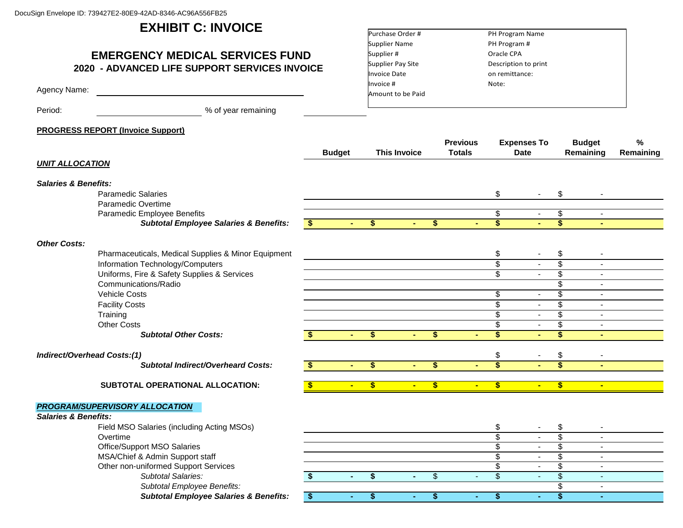# **EXHIBIT C: INVOICE**

# **EMERGENCY MEDICAL SERVICES FUND 2020 - ADVANCED LIFE SUPPORT SERVICES INVOICE**

Agency Name:

Period: example 2011 We are the Series of year remaining

#### **PROGRESS REPORT (Invoice Support)**

| Purchase Order #    | PH Program Name      |  |
|---------------------|----------------------|--|
| Supplier Name       | PH Program #         |  |
| Supplier #          | Oracle CPA           |  |
| Supplier Pay Site   | Description to print |  |
| <b>Invoice Date</b> | on remittance:       |  |
| Invoice #           | Note:                |  |
| Amount to be Paid   |                      |  |
|                     |                      |  |

|                                    |                                                     |    | <b>Budget</b> |              | <b>This Invoice</b> |                | <b>Previous</b><br><b>Totals</b> |                         | <b>Expenses To</b><br><b>Date</b> |                          | <b>Budget</b><br>Remaining | ℅<br>Remaining |
|------------------------------------|-----------------------------------------------------|----|---------------|--------------|---------------------|----------------|----------------------------------|-------------------------|-----------------------------------|--------------------------|----------------------------|----------------|
| <b>UNIT ALLOCATION</b>             |                                                     |    |               |              |                     |                |                                  |                         |                                   |                          |                            |                |
| <b>Salaries &amp; Benefits:</b>    |                                                     |    |               |              |                     |                |                                  |                         |                                   |                          |                            |                |
|                                    | <b>Paramedic Salaries</b>                           |    |               |              |                     |                |                                  | \$                      |                                   | \$                       |                            |                |
|                                    | Paramedic Overtime                                  |    |               |              |                     |                |                                  |                         |                                   |                          |                            |                |
|                                    | Paramedic Employee Benefits                         |    |               |              |                     |                |                                  | \$                      | $\blacksquare$                    | \$                       | $\sim$                     |                |
|                                    | <b>Subtotal Employee Salaries &amp; Benefits:</b>   | S. |               | \$           |                     | \$             | ÷                                | $\overline{\$}$         |                                   | \$                       |                            |                |
| <b>Other Costs:</b>                |                                                     |    |               |              |                     |                |                                  |                         |                                   |                          |                            |                |
|                                    | Pharmaceuticals, Medical Supplies & Minor Equipment |    |               |              |                     |                |                                  | \$                      | $\blacksquare$                    | \$                       |                            |                |
|                                    | Information Technology/Computers                    |    |               |              |                     |                |                                  | \$                      | $\mathbf{r}$                      | $\overline{\mathbb{S}}$  | $\sim$                     |                |
|                                    | Uniforms, Fire & Safety Supplies & Services         |    |               |              |                     |                |                                  | \$                      | $\blacksquare$                    | \$                       |                            |                |
|                                    | Communications/Radio                                |    |               |              |                     |                |                                  |                         |                                   | $\overline{\mathcal{S}}$ |                            |                |
|                                    | <b>Vehicle Costs</b>                                |    |               |              |                     |                |                                  | \$                      | $\blacksquare$                    | $\overline{\$}$          |                            |                |
|                                    | <b>Facility Costs</b>                               |    |               |              |                     |                |                                  | $\overline{\$}$         | $\blacksquare$                    | \$                       | $\overline{a}$             |                |
|                                    | Training                                            |    |               |              |                     |                |                                  | $\overline{\$}$         | $\blacksquare$                    | $\overline{\$}$          | $\sim$                     |                |
|                                    | <b>Other Costs</b>                                  |    |               |              |                     |                |                                  | \$                      | $\blacksquare$                    | \$                       |                            |                |
|                                    | <b>Subtotal Other Costs:</b>                        |    |               | \$           | $\overline{a}$      | \$.            | $\sim$                           | $\overline{\mathbf{s}}$ | ÷.                                | \$                       | ÷                          |                |
| <b>Indirect/Overhead Costs:(1)</b> |                                                     |    |               |              |                     |                |                                  | \$                      |                                   | \$                       |                            |                |
|                                    | <b>Subtotal Indirect/Overheard Costs:</b>           |    |               | \$.          |                     | \$.            |                                  | $\overline{\mathbf{s}}$ | a.                                | $\overline{\mathbf{s}}$  |                            |                |
|                                    |                                                     |    |               |              |                     |                |                                  |                         |                                   |                          |                            |                |
|                                    | SUBTOTAL OPERATIONAL ALLOCATION:                    |    |               | $\mathbf{s}$ | $\blacksquare$      | $\mathbf{s}$   | $\sim$                           | S                       | $\blacksquare$                    | \$                       | $\blacksquare$             |                |
|                                    | <b>PROGRAM/SUPERVISORY ALLOCATION</b>               |    |               |              |                     |                |                                  |                         |                                   |                          |                            |                |
| <b>Salaries &amp; Benefits:</b>    |                                                     |    |               |              |                     |                |                                  |                         |                                   |                          |                            |                |
|                                    | Field MSO Salaries (including Acting MSOs)          |    |               |              |                     |                |                                  | \$                      | $\sim$                            | \$                       |                            |                |
|                                    | Overtime                                            |    |               |              |                     |                |                                  | $\overline{\$}$         | $\blacksquare$                    | $\overline{\$}$          |                            |                |
|                                    | Office/Support MSO Salaries                         |    |               |              |                     |                |                                  | \$                      | $\sim$                            | \$                       | $\sim$                     |                |
|                                    | MSA/Chief & Admin Support staff                     |    |               |              |                     |                |                                  | $\overline{\$}$         | $\blacksquare$                    | $\overline{\$}$          |                            |                |
|                                    | Other non-uniformed Support Services                |    |               |              |                     |                |                                  | \$                      | $\blacksquare$                    | $\overline{\mathcal{G}}$ | $\overline{\phantom{a}}$   |                |
|                                    | Subtotal Salaries:                                  |    | ٠.            | \$           | ٠                   | $\mathfrak{S}$ | $\sim$                           | $\mathcal{S}$           | $\omega$                          | \$                       |                            |                |
|                                    | Subtotal Employee Benefits:                         |    |               |              |                     |                |                                  |                         |                                   | \$                       | $\overline{\phantom{a}}$   |                |
|                                    | <b>Subtotal Employee Salaries &amp; Benefits:</b>   | S  |               | \$           |                     | \$             |                                  | \$                      | $\blacksquare$                    | $\overline{\$}$          | $\overline{\phantom{a}}$   |                |